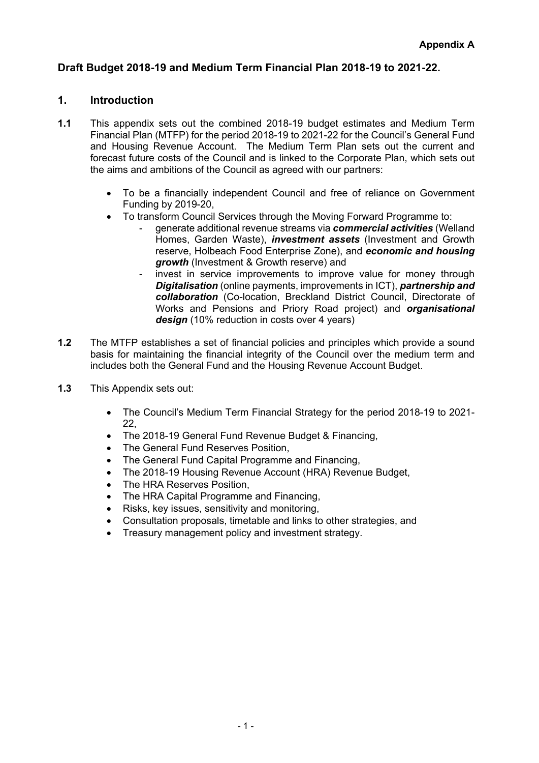# **Draft Budget 2018-19 and Medium Term Financial Plan 2018-19 to 2021-22.**

## **1. Introduction**

- **1.1** This appendix sets out the combined 2018-19 budget estimates and Medium Term Financial Plan (MTFP) for the period 2018-19 to 2021-22 for the Council's General Fund and Housing Revenue Account. The Medium Term Plan sets out the current and forecast future costs of the Council and is linked to the Corporate Plan, which sets out the aims and ambitions of the Council as agreed with our partners:
	- To be a financially independent Council and free of reliance on Government Funding by 2019-20,
		- To transform Council Services through the Moving Forward Programme to:
			- generate additional revenue streams via *commercial activities* (Welland Homes, Garden Waste), *investment assets* (Investment and Growth reserve, Holbeach Food Enterprise Zone), and *economic and housing growth* (Investment & Growth reserve) and
			- invest in service improvements to improve value for money through *Digitalisation* (online payments, improvements in ICT), *partnership and collaboration* (Co-location, Breckland District Council, Directorate of Works and Pensions and Priory Road project) and *organisational design* (10% reduction in costs over 4 years)
- **1.2** The MTFP establishes a set of financial policies and principles which provide a sound basis for maintaining the financial integrity of the Council over the medium term and includes both the General Fund and the Housing Revenue Account Budget.
- **1.3** This Appendix sets out:
	- The Council's Medium Term Financial Strategy for the period 2018-19 to 2021- 22,
	- The 2018-19 General Fund Revenue Budget & Financing,
	- The General Fund Reserves Position,
	- The General Fund Capital Programme and Financing,
	- The 2018-19 Housing Revenue Account (HRA) Revenue Budget,
	- The HRA Reserves Position,
	- The HRA Capital Programme and Financing,
	- Risks, key issues, sensitivity and monitoring,
	- Consultation proposals, timetable and links to other strategies, and
	- Treasury management policy and investment strategy.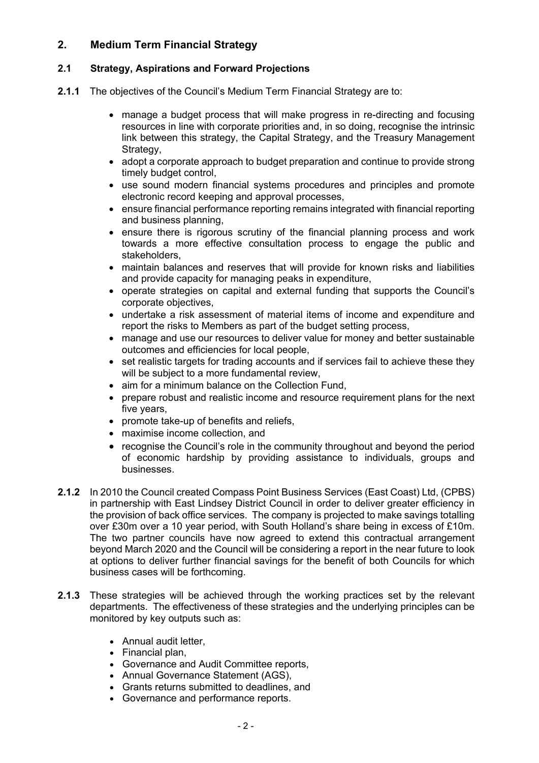# **2. Medium Term Financial Strategy**

# **2.1 Strategy, Aspirations and Forward Projections**

- **2.1.1** The objectives of the Council's Medium Term Financial Strategy are to:
	- manage a budget process that will make progress in re-directing and focusing resources in line with corporate priorities and, in so doing, recognise the intrinsic link between this strategy, the Capital Strategy, and the Treasury Management Strategy,
	- adopt a corporate approach to budget preparation and continue to provide strong timely budget control,
	- use sound modern financial systems procedures and principles and promote electronic record keeping and approval processes,
	- ensure financial performance reporting remains integrated with financial reporting and business planning,
	- ensure there is rigorous scrutiny of the financial planning process and work towards a more effective consultation process to engage the public and stakeholders,
	- maintain balances and reserves that will provide for known risks and liabilities and provide capacity for managing peaks in expenditure,
	- operate strategies on capital and external funding that supports the Council's corporate objectives,
	- undertake a risk assessment of material items of income and expenditure and report the risks to Members as part of the budget setting process,
	- manage and use our resources to deliver value for money and better sustainable outcomes and efficiencies for local people,
	- set realistic targets for trading accounts and if services fail to achieve these they will be subject to a more fundamental review,
	- aim for a minimum balance on the Collection Fund,
	- prepare robust and realistic income and resource requirement plans for the next five years,
	- promote take-up of benefits and reliefs,
	- maximise income collection, and
	- recognise the Council's role in the community throughout and beyond the period of economic hardship by providing assistance to individuals, groups and businesses.
- **2.1.2** In 2010 the Council created Compass Point Business Services (East Coast) Ltd, (CPBS) in partnership with East Lindsey District Council in order to deliver greater efficiency in the provision of back office services. The company is projected to make savings totalling over £30m over a 10 year period, with South Holland's share being in excess of £10m. The two partner councils have now agreed to extend this contractual arrangement beyond March 2020 and the Council will be considering a report in the near future to look at options to deliver further financial savings for the benefit of both Councils for which business cases will be forthcoming.
- **2.1.3** These strategies will be achieved through the working practices set by the relevant departments. The effectiveness of these strategies and the underlying principles can be monitored by key outputs such as:
	- Annual audit letter,
	- Financial plan,
	- Governance and Audit Committee reports,
	- Annual Governance Statement (AGS),
	- Grants returns submitted to deadlines, and
	- Governance and performance reports.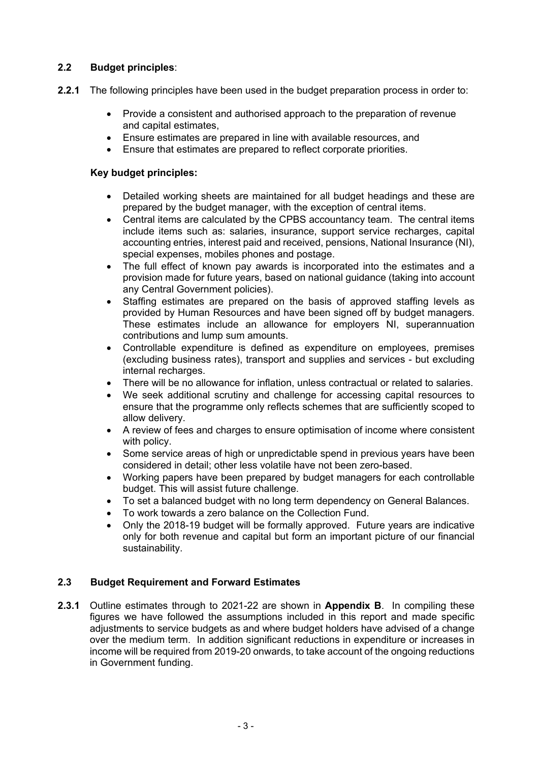# **2.2 Budget principles**:

- **2.2.1** The following principles have been used in the budget preparation process in order to:
	- Provide a consistent and authorised approach to the preparation of revenue and capital estimates,
	- Ensure estimates are prepared in line with available resources, and
	- Ensure that estimates are prepared to reflect corporate priorities.

## **Key budget principles:**

- Detailed working sheets are maintained for all budget headings and these are prepared by the budget manager, with the exception of central items.
- Central items are calculated by the CPBS accountancy team. The central items include items such as: salaries, insurance, support service recharges, capital accounting entries, interest paid and received, pensions, National Insurance (NI), special expenses, mobiles phones and postage.
- The full effect of known pay awards is incorporated into the estimates and a provision made for future years, based on national guidance (taking into account any Central Government policies).
- Staffing estimates are prepared on the basis of approved staffing levels as provided by Human Resources and have been signed off by budget managers. These estimates include an allowance for employers NI, superannuation contributions and lump sum amounts.
- Controllable expenditure is defined as expenditure on employees, premises (excluding business rates), transport and supplies and services - but excluding internal recharges.
- There will be no allowance for inflation, unless contractual or related to salaries.
- We seek additional scrutiny and challenge for accessing capital resources to ensure that the programme only reflects schemes that are sufficiently scoped to allow delivery.
- A review of fees and charges to ensure optimisation of income where consistent with policy.
- Some service areas of high or unpredictable spend in previous years have been considered in detail; other less volatile have not been zero-based.
- Working papers have been prepared by budget managers for each controllable budget. This will assist future challenge.
- To set a balanced budget with no long term dependency on General Balances.
- To work towards a zero balance on the Collection Fund.
- Only the 2018-19 budget will be formally approved. Future years are indicative only for both revenue and capital but form an important picture of our financial sustainability.

# **2.3 Budget Requirement and Forward Estimates**

**2.3.1** Outline estimates through to 2021-22 are shown in **Appendix B**. In compiling these figures we have followed the assumptions included in this report and made specific adjustments to service budgets as and where budget holders have advised of a change over the medium term. In addition significant reductions in expenditure or increases in income will be required from 2019-20 onwards, to take account of the ongoing reductions in Government funding.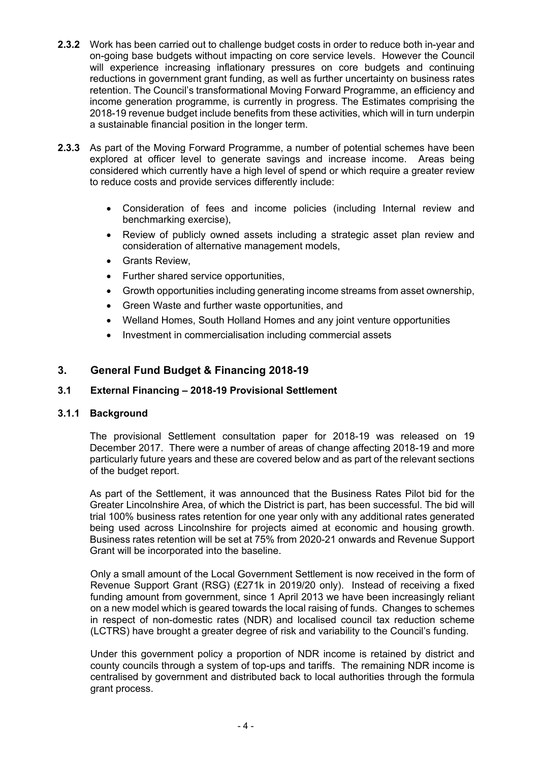- **2.3.2** Work has been carried out to challenge budget costs in order to reduce both in-year and on-going base budgets without impacting on core service levels. However the Council will experience increasing inflationary pressures on core budgets and continuing reductions in government grant funding, as well as further uncertainty on business rates retention. The Council's transformational Moving Forward Programme, an efficiency and income generation programme, is currently in progress. The Estimates comprising the 2018-19 revenue budget include benefits from these activities, which will in turn underpin a sustainable financial position in the longer term.
- **2.3.3** As part of the Moving Forward Programme, a number of potential schemes have been explored at officer level to generate savings and increase income. Areas being considered which currently have a high level of spend or which require a greater review to reduce costs and provide services differently include:
	- Consideration of fees and income policies (including Internal review and benchmarking exercise),
	- Review of publicly owned assets including a strategic asset plan review and consideration of alternative management models,
	- Grants Review,
	- Further shared service opportunities,
	- Growth opportunities including generating income streams from asset ownership,
	- Green Waste and further waste opportunities, and
	- Welland Homes, South Holland Homes and any joint venture opportunities
	- Investment in commercialisation including commercial assets

## **3. General Fund Budget & Financing 2018-19**

## **3.1 External Financing – 2018-19 Provisional Settlement**

#### **3.1.1 Background**

The provisional Settlement consultation paper for 2018-19 was released on 19 December 2017. There were a number of areas of change affecting 2018-19 and more particularly future years and these are covered below and as part of the relevant sections of the budget report.

As part of the Settlement, it was announced that the Business Rates Pilot bid for the Greater Lincolnshire Area, of which the District is part, has been successful. The bid will trial 100% business rates retention for one year only with any additional rates generated being used across Lincolnshire for projects aimed at economic and housing growth. Business rates retention will be set at 75% from 2020-21 onwards and Revenue Support Grant will be incorporated into the baseline.

Only a small amount of the Local Government Settlement is now received in the form of Revenue Support Grant (RSG) (£271k in 2019/20 only). Instead of receiving a fixed funding amount from government, since 1 April 2013 we have been increasingly reliant on a new model which is geared towards the local raising of funds. Changes to schemes in respect of non-domestic rates (NDR) and localised council tax reduction scheme (LCTRS) have brought a greater degree of risk and variability to the Council's funding.

Under this government policy a proportion of NDR income is retained by district and county councils through a system of top-ups and tariffs. The remaining NDR income is centralised by government and distributed back to local authorities through the formula grant process.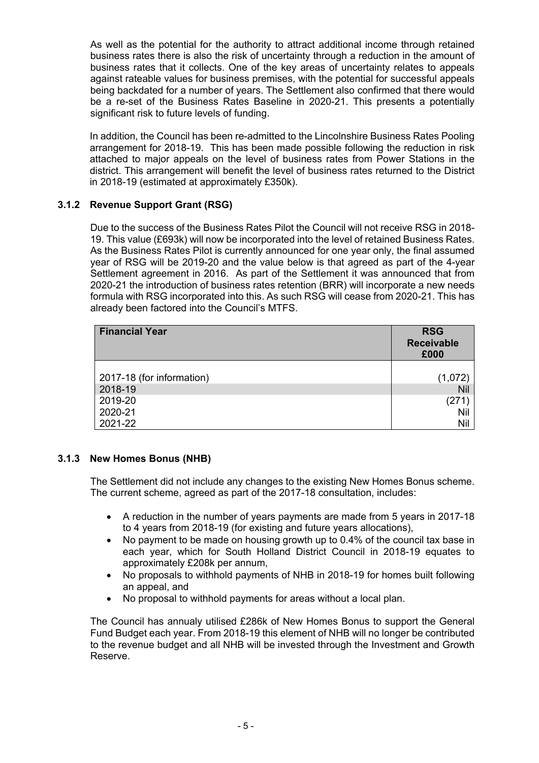As well as the potential for the authority to attract additional income through retained business rates there is also the risk of uncertainty through a reduction in the amount of business rates that it collects. One of the key areas of uncertainty relates to appeals against rateable values for business premises, with the potential for successful appeals being backdated for a number of years. The Settlement also confirmed that there would be a re-set of the Business Rates Baseline in 2020-21. This presents a potentially significant risk to future levels of funding.

In addition, the Council has been re-admitted to the Lincolnshire Business Rates Pooling arrangement for 2018-19. This has been made possible following the reduction in risk attached to major appeals on the level of business rates from Power Stations in the district. This arrangement will benefit the level of business rates returned to the District in 2018-19 (estimated at approximately £350k).

# **3.1.2 Revenue Support Grant (RSG)**

Due to the success of the Business Rates Pilot the Council will not receive RSG in 2018- 19. This value (£693k) will now be incorporated into the level of retained Business Rates. As the Business Rates Pilot is currently announced for one year only, the final assumed year of RSG will be 2019-20 and the value below is that agreed as part of the 4-year Settlement agreement in 2016. As part of the Settlement it was announced that from 2020-21 the introduction of business rates retention (BRR) will incorporate a new needs formula with RSG incorporated into this. As such RSG will cease from 2020-21. This has already been factored into the Council's MTFS.

| <b>Financial Year</b>     | <b>RSG</b><br><b>Receivable</b><br>£000 |
|---------------------------|-----------------------------------------|
|                           |                                         |
| 2017-18 (for information) | (1,072)                                 |
| 2018-19                   | Nil                                     |
| 2019-20                   | (271                                    |
| 2020-21                   | Nil                                     |
| 2021-22                   | Nil                                     |

# **3.1.3 New Homes Bonus (NHB)**

The Settlement did not include any changes to the existing New Homes Bonus scheme. The current scheme, agreed as part of the 2017-18 consultation, includes:

- A reduction in the number of years payments are made from 5 years in 2017-18 to 4 years from 2018-19 (for existing and future years allocations),
- No payment to be made on housing growth up to 0.4% of the council tax base in each year, which for South Holland District Council in 2018-19 equates to approximately £208k per annum,
- No proposals to withhold payments of NHB in 2018-19 for homes built following an appeal, and
- No proposal to withhold payments for areas without a local plan.

The Council has annualy utilised £286k of New Homes Bonus to support the General Fund Budget each year. From 2018-19 this element of NHB will no longer be contributed to the revenue budget and all NHB will be invested through the Investment and Growth Reserve.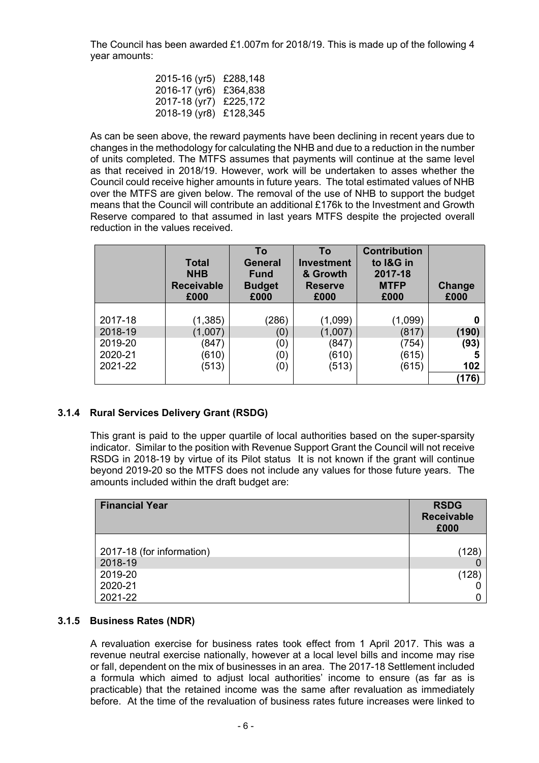The Council has been awarded £1.007m for 2018/19. This is made up of the following 4 year amounts:

| 2015-16 (yr5) | £288,148 |
|---------------|----------|
| 2016-17 (yr6) | £364,838 |
| 2017-18 (yr7) | £225,172 |
| 2018-19 (yr8) | £128,345 |

As can be seen above, the reward payments have been declining in recent years due to changes in the methodology for calculating the NHB and due to a reduction in the number of units completed. The MTFS assumes that payments will continue at the same level as that received in 2018/19. However, work will be undertaken to asses whether the Council could receive higher amounts in future years. The total estimated values of NHB over the MTFS are given below. The removal of the use of NHB to support the budget means that the Council will contribute an additional £176k to the Investment and Growth Reserve compared to that assumed in last years MTFS despite the projected overall reduction in the values received.

|         | <b>Total</b><br><b>NHB</b><br><b>Receivable</b><br>£000 | To<br><b>General</b><br><b>Fund</b><br><b>Budget</b><br>£000 | To<br><b>Investment</b><br>& Growth<br><b>Reserve</b><br>£000 | <b>Contribution</b><br>to I&G in<br>2017-18<br><b>MTFP</b><br>£000 | Change<br>£000 |
|---------|---------------------------------------------------------|--------------------------------------------------------------|---------------------------------------------------------------|--------------------------------------------------------------------|----------------|
| 2017-18 | (1, 385)                                                | (286)                                                        | (1,099)                                                       | (1,099)                                                            | 0              |
| 2018-19 | (1,007)                                                 | (0)                                                          | (1,007)                                                       | (817)                                                              | (190)          |
| 2019-20 | (847)                                                   | (0)                                                          | (847)                                                         | (754)                                                              | (93)           |
| 2020-21 | (610)                                                   | (0)                                                          | (610)                                                         | (615)                                                              | 5              |
| 2021-22 | (513)                                                   | (0)                                                          | (513)                                                         | (615)                                                              | 102            |
|         |                                                         |                                                              |                                                               |                                                                    | (176)          |

## **3.1.4 Rural Services Delivery Grant (RSDG)**

This grant is paid to the upper quartile of local authorities based on the super-sparsity indicator. Similar to the position with Revenue Support Grant the Council will not receive RSDG in 2018-19 by virtue of its Pilot status It is not known if the grant will continue beyond 2019-20 so the MTFS does not include any values for those future years. The amounts included within the draft budget are:

| <b>Financial Year</b>     | <b>RSDG</b><br><b>Receivable</b><br>£000 |
|---------------------------|------------------------------------------|
|                           |                                          |
| 2017-18 (for information) | (128)                                    |
| 2018-19                   |                                          |
| 2019-20                   | (128)                                    |
| 2020-21                   |                                          |
| 2021-22                   |                                          |

## **3.1.5 Business Rates (NDR)**

A revaluation exercise for business rates took effect from 1 April 2017. This was a revenue neutral exercise nationally, however at a local level bills and income may rise or fall, dependent on the mix of businesses in an area. The 2017-18 Settlement included a formula which aimed to adjust local authorities' income to ensure (as far as is practicable) that the retained income was the same after revaluation as immediately before. At the time of the revaluation of business rates future increases were linked to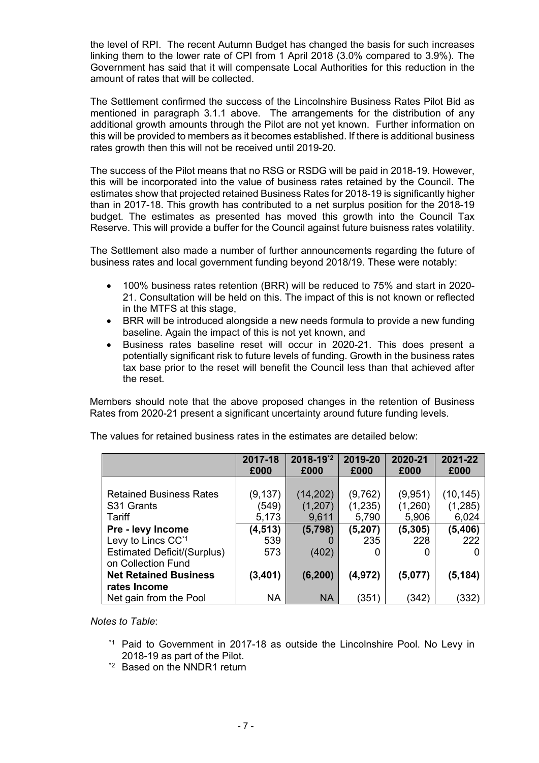the level of RPI. The recent Autumn Budget has changed the basis for such increases linking them to the lower rate of CPI from 1 April 2018 (3.0% compared to 3.9%). The Government has said that it will compensate Local Authorities for this reduction in the amount of rates that will be collected.

The Settlement confirmed the success of the Lincolnshire Business Rates Pilot Bid as mentioned in paragraph 3.1.1 above. The arrangements for the distribution of any additional growth amounts through the Pilot are not yet known. Further information on this will be provided to members as it becomes established. If there is additional business rates growth then this will not be received until 2019-20.

The success of the Pilot means that no RSG or RSDG will be paid in 2018-19. However, this will be incorporated into the value of business rates retained by the Council. The estimates show that projected retained Business Rates for 2018-19 is significantly higher than in 2017-18. This growth has contributed to a net surplus position for the 2018-19 budget. The estimates as presented has moved this growth into the Council Tax Reserve. This will provide a buffer for the Council against future buisness rates volatility.

The Settlement also made a number of further announcements regarding the future of business rates and local government funding beyond 2018/19. These were notably:

- 100% business rates retention (BRR) will be reduced to 75% and start in 2020- 21. Consultation will be held on this. The impact of this is not known or reflected in the MTFS at this stage,
- BRR will be introduced alongside a new needs formula to provide a new funding baseline. Again the impact of this is not yet known, and
- Business rates baseline reset will occur in 2020-21. This does present a potentially significant risk to future levels of funding. Growth in the business rates tax base prior to the reset will benefit the Council less than that achieved after the reset.

Members should note that the above proposed changes in the retention of Business Rates from 2020-21 present a significant uncertainty around future funding levels.

|                                                          | 2017-18<br>£000   | 2018-19*2<br>£000    | 2019-20<br>£000    | 2020-21<br>£000    | 2021-22<br>£000      |
|----------------------------------------------------------|-------------------|----------------------|--------------------|--------------------|----------------------|
|                                                          |                   |                      |                    |                    |                      |
| <b>Retained Business Rates</b><br>S <sub>31</sub> Grants | (9, 137)<br>(549) | (14, 202)<br>(1,207) | (9,762)<br>(1,235) | (9,951)<br>(1,260) | (10, 145)<br>(1,285) |
| Tariff                                                   | 5,173             | 9,611                | 5,790              | 5,906              | 6,024                |
| Pre - levy Income                                        | (4, 513)          | (5,798)              | (5,207)            | (5, 305)           | (5,406)              |
| Levy to Lincs CC <sup>*1</sup>                           | 539               |                      | 235                | 228                | 222                  |
| <b>Estimated Deficit/(Surplus)</b>                       | 573               | (402)                | 0                  |                    |                      |
| on Collection Fund                                       |                   |                      |                    |                    |                      |
| <b>Net Retained Business</b>                             | (3, 401)          | (6, 200)             | (4, 972)           | (5,077)            | (5, 184)             |
| rates Income                                             |                   |                      |                    |                    |                      |
| Net gain from the Pool                                   | ΝA                | <b>NA</b>            | (351)              | (342)              | (332)                |

The values for retained business rates in the estimates are detailed below:

*Notes to Table*:

- \*1 Paid to Government in 2017-18 as outside the Lincolnshire Pool. No Levy in 2018-19 as part of the Pilot.
- \*2 Based on the NNDR1 return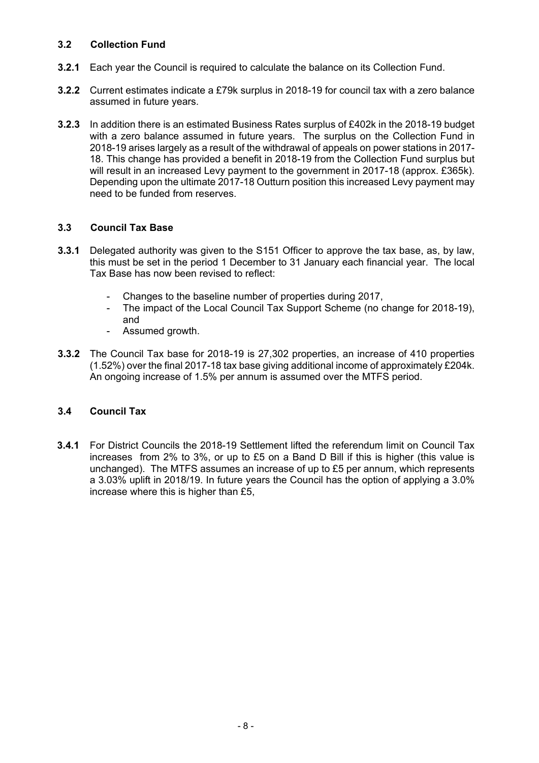## **3.2 Collection Fund**

- **3.2.1** Each year the Council is required to calculate the balance on its Collection Fund.
- **3.2.2** Current estimates indicate a £79k surplus in 2018-19 for council tax with a zero balance assumed in future years.
- **3.2.3** In addition there is an estimated Business Rates surplus of £402k in the 2018-19 budget with a zero balance assumed in future years. The surplus on the Collection Fund in 2018-19 arises largely as a result of the withdrawal of appeals on power stations in 2017- 18. This change has provided a benefit in 2018-19 from the Collection Fund surplus but will result in an increased Levy payment to the government in 2017-18 (approx. £365k). Depending upon the ultimate 2017-18 Outturn position this increased Levy payment may need to be funded from reserves.

## **3.3 Council Tax Base**

- **3.3.1** Delegated authority was given to the S151 Officer to approve the tax base, as, by law, this must be set in the period 1 December to 31 January each financial year. The local Tax Base has now been revised to reflect:
	- Changes to the baseline number of properties during 2017,
	- The impact of the Local Council Tax Support Scheme (no change for 2018-19), and
	- Assumed growth.
- **3.3.2** The Council Tax base for 2018-19 is 27,302 properties, an increase of 410 properties (1.52%) over the final 2017-18 tax base giving additional income of approximately £204k. An ongoing increase of 1.5% per annum is assumed over the MTFS period.

# **3.4 Council Tax**

**3.4.1** For District Councils the 2018-19 Settlement lifted the referendum limit on Council Tax increases from 2% to 3%, or up to £5 on a Band D Bill if this is higher (this value is unchanged). The MTFS assumes an increase of up to £5 per annum, which represents a 3.03% uplift in 2018/19. In future years the Council has the option of applying a 3.0% increase where this is higher than £5,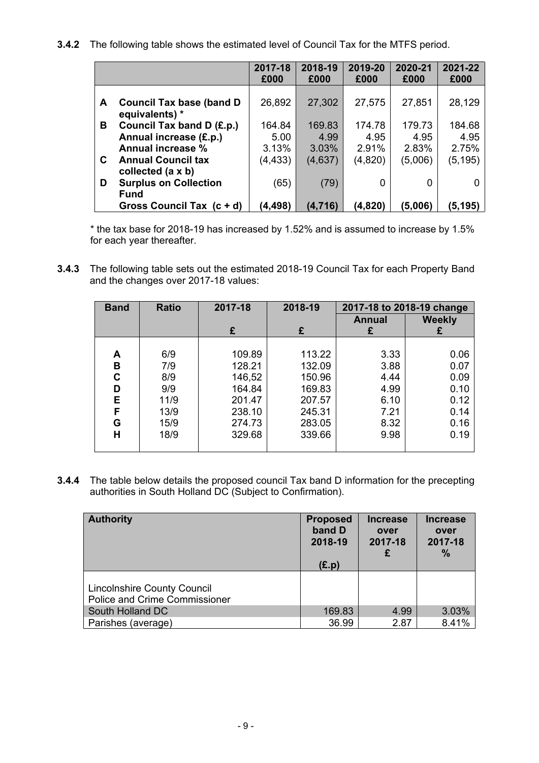# **3.4.2** The following table shows the estimated level of Council Tax for the MTFS period.

|    |                                                                                 | 2017-18<br>£000         | 2018-19<br>£000         | 2019-20<br>£000         | 2020-21<br>£000         | 2021-22<br>£000         |
|----|---------------------------------------------------------------------------------|-------------------------|-------------------------|-------------------------|-------------------------|-------------------------|
| A  | <b>Council Tax base (band D</b><br>equivalents) *                               | 26,892                  | 27,302                  | 27,575                  | 27,851                  | 28,129                  |
| В  | Council Tax band D (£.p.)<br>Annual increase (£.p.)<br><b>Annual increase %</b> | 164.84<br>5.00<br>3.13% | 169.83<br>4.99<br>3.03% | 174.78<br>4.95<br>2.91% | 179.73<br>4.95<br>2.83% | 184.68<br>4.95<br>2.75% |
| C. | <b>Annual Council tax</b><br>collected (a x b)                                  | (4, 433)                | (4,637)                 | (4,820)                 | (5,006)                 | (5, 195)                |
| D  | <b>Surplus on Collection</b><br>Fund                                            | (65)                    | (79)                    | 0                       | 0                       |                         |
|    | Gross Council Tax (c + d)                                                       | (4,498)                 | (4.716)                 | (4,820)                 | (5,006)                 | (5,195)                 |

\* the tax base for 2018-19 has increased by 1.52% and is assumed to increase by 1.5% for each year thereafter.

**3.4.3** The following table sets out the estimated 2018-19 Council Tax for each Property Band and the changes over 2017-18 values:

| <b>Band</b> | <b>Ratio</b> | 2017-18 | 2018-19 | 2017-18 to 2018-19 change |               |
|-------------|--------------|---------|---------|---------------------------|---------------|
|             |              |         |         | <b>Annual</b>             | <b>Weekly</b> |
|             |              | £       | £       | £                         |               |
|             |              |         |         |                           |               |
| А           | 6/9          | 109.89  | 113.22  | 3.33                      | 0.06          |
| B           | 7/9          | 128.21  | 132.09  | 3.88                      | 0.07          |
| C           | 8/9          | 146,52  | 150.96  | 4.44                      | 0.09          |
| D           | 9/9          | 164.84  | 169.83  | 4.99                      | 0.10          |
| E           | 11/9         | 201.47  | 207.57  | 6.10                      | 0.12          |
| F           | 13/9         | 238.10  | 245.31  | 7.21                      | 0.14          |
| G           | 15/9         | 274.73  | 283.05  | 8.32                      | 0.16          |
| Н           | 18/9         | 329.68  | 339.66  | 9.98                      | 0.19          |
|             |              |         |         |                           |               |

**3.4.4** The table below details the proposed council Tax band D information for the precepting authorities in South Holland DC (Subject to Confirmation).

| <b>Authority</b>                                                           | <b>Proposed</b><br>band D<br>2018-19 | <b>Increase</b><br>over<br>2017-18<br>£ | <b>Increase</b><br>over<br>2017-18<br>$\%$ |
|----------------------------------------------------------------------------|--------------------------------------|-----------------------------------------|--------------------------------------------|
|                                                                            | (E.p)                                |                                         |                                            |
| <b>Lincolnshire County Council</b><br><b>Police and Crime Commissioner</b> |                                      |                                         |                                            |
| South Holland DC                                                           | 169.83                               | 4.99                                    | 3.03%                                      |
| Parishes (average)                                                         | 36.99                                | 2.87                                    | 8.41%                                      |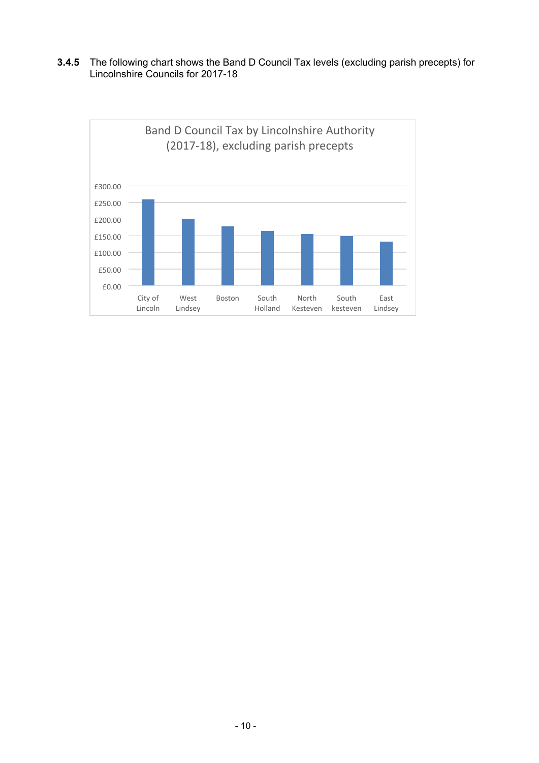**3.4.5** The following chart shows the Band D Council Tax levels (excluding parish precepts) for Lincolnshire Councils for 2017-18

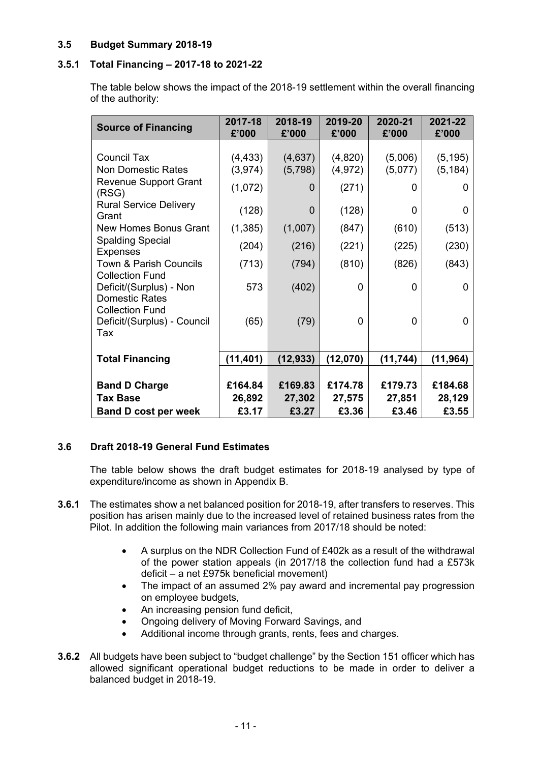# **3.5 Budget Summary 2018-19**

## **3.5.1 Total Financing – 2017-18 to 2021-22**

The table below shows the impact of the 2018-19 settlement within the overall financing of the authority:

| <b>Source of Financing</b>                                                                           | 2017-18<br>£'000               | 2018-19<br>£'000               | 2019-20<br>£'000             | 2020-21<br>£'000        | 2021-22<br>£'000          |
|------------------------------------------------------------------------------------------------------|--------------------------------|--------------------------------|------------------------------|-------------------------|---------------------------|
| <b>Council Tax</b><br>Non Domestic Rates<br><b>Revenue Support Grant</b><br>(RSG)                    | (4, 433)<br>(3,974)<br>(1,072) | (4,637)<br>(5,798)<br>$\Omega$ | (4,820)<br>(4, 972)<br>(271) | (5,006)<br>(5,077)<br>0 | (5, 195)<br>(5, 184)<br>0 |
| <b>Rural Service Delivery</b><br>Grant                                                               | (128)                          | $\overline{0}$                 | (128)                        | 0                       | 0                         |
| <b>New Homes Bonus Grant</b>                                                                         | (1, 385)                       | (1,007)                        | (847)                        | (610)                   | (513)                     |
| <b>Spalding Special</b><br><b>Expenses</b>                                                           | (204)                          | (216)                          | (221)                        | (225)                   | (230)                     |
| Town & Parish Councils                                                                               | (713)                          | (794)                          | (810)                        | (826)                   | (843)                     |
| <b>Collection Fund</b><br>Deficit/(Surplus) - Non<br><b>Domestic Rates</b><br><b>Collection Fund</b> | 573                            | (402)                          | $\mathbf 0$                  | $\Omega$                | 0                         |
| Deficit/(Surplus) - Council<br>Tax                                                                   | (65)                           | (79)                           | $\mathbf 0$                  | $\mathbf{0}$            | 0                         |
| <b>Total Financing</b>                                                                               | (11, 401)                      | (12, 933)                      | (12,070)                     | (11, 744)               | (11, 964)                 |
| <b>Band D Charge</b>                                                                                 | £164.84                        | £169.83                        | £174.78                      | £179.73                 | £184.68                   |
| <b>Tax Base</b>                                                                                      | 26,892                         | 27,302                         | 27,575                       | 27,851                  | 28,129                    |
| <b>Band D cost per week</b>                                                                          | £3.17                          | £3.27                          | £3.36                        | £3.46                   | £3.55                     |

## **3.6 Draft 2018-19 General Fund Estimates**

The table below shows the draft budget estimates for 2018-19 analysed by type of expenditure/income as shown in Appendix B.

- **3.6.1** The estimates show a net balanced position for 2018-19, after transfers to reserves. This position has arisen mainly due to the increased level of retained business rates from the Pilot. In addition the following main variances from 2017/18 should be noted:
	- A surplus on the NDR Collection Fund of £402k as a result of the withdrawal of the power station appeals (in 2017/18 the collection fund had a £573k deficit – a net £975k beneficial movement)
	- The impact of an assumed 2% pay award and incremental pay progression on employee budgets,
	- An increasing pension fund deficit,
	- Ongoing delivery of Moving Forward Savings, and
	- Additional income through grants, rents, fees and charges.
- **3.6.2** All budgets have been subject to "budget challenge" by the Section 151 officer which has allowed significant operational budget reductions to be made in order to deliver a balanced budget in 2018-19.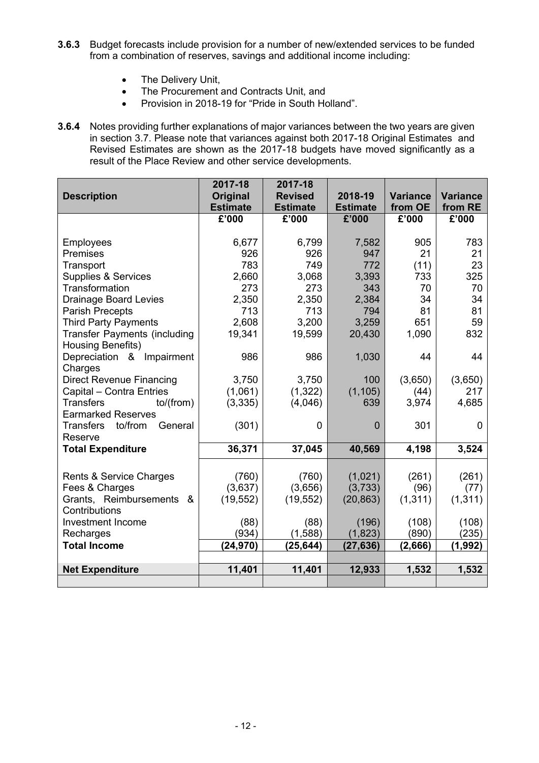- **3.6.3** Budget forecasts include provision for a number of new/extended services to be funded from a combination of reserves, savings and additional income including:
	- The Delivery Unit,
	- The Procurement and Contracts Unit, and
	- Provision in 2018-19 for "Pride in South Holland".
- **3.6.4** Notes providing further explanations of major variances between the two years are given in section 3.7. Please note that variances against both 2017-18 Original Estimates and Revised Estimates are shown as the 2017-18 budgets have moved significantly as a result of the Place Review and other service developments.

|                                              | 2017-18         | 2017-18         |                 |                 |                 |
|----------------------------------------------|-----------------|-----------------|-----------------|-----------------|-----------------|
| <b>Description</b>                           | <b>Original</b> | <b>Revised</b>  | 2018-19         | <b>Variance</b> | <b>Variance</b> |
|                                              | <b>Estimate</b> | <b>Estimate</b> | <b>Estimate</b> | from OE         | from RE         |
|                                              | £'000           | £'000           | £'000           | £'000           | £'000           |
| Employees                                    | 6,677           | 6,799           | 7,582           | 905             | 783             |
| Premises                                     | 926             | 926             | 947             | 21              | 21              |
| Transport                                    | 783             | 749             | 772             | (11)            | 23              |
| <b>Supplies &amp; Services</b>               | 2,660           | 3,068           | 3,393           | 733             | 325             |
| Transformation                               | 273             | 273             | 343             | 70              | 70              |
| <b>Drainage Board Levies</b>                 | 2,350           | 2,350           | 2,384           | 34              | 34              |
| <b>Parish Precepts</b>                       | 713             | 713             | 794             | 81              | 81              |
| <b>Third Party Payments</b>                  | 2,608           | 3,200           | 3,259           | 651             | 59              |
| <b>Transfer Payments (including</b>          | 19,341          | 19,599          | 20,430          | 1,090           | 832             |
| <b>Housing Benefits)</b>                     |                 |                 |                 |                 |                 |
| Depreciation & Impairment                    | 986             | 986             | 1,030           | 44              | 44              |
| Charges                                      |                 |                 |                 |                 |                 |
| <b>Direct Revenue Financing</b>              | 3,750           | 3,750           | 100             | (3,650)         | (3,650)         |
| Capital - Contra Entries                     | (1,061)         | (1,322)         | (1, 105)        | (44)            | 217             |
| <b>Transfers</b><br>to/(from)                | (3, 335)        | (4,046)         | 639             | 3,974           | 4,685           |
| <b>Earmarked Reserves</b>                    |                 |                 |                 |                 |                 |
| <b>Transfers</b><br>to/from<br>General       | (301)           | $\mathbf 0$     | $\Omega$        | 301             | $\mathbf 0$     |
| Reserve                                      |                 |                 |                 |                 |                 |
| <b>Total Expenditure</b>                     | 36,371          | 37,045          | 40,569          | 4,198           | 3,524           |
|                                              |                 |                 |                 |                 |                 |
| Rents & Service Charges                      | (760)           | (760)           | (1,021)         | (261)           | (261)           |
| Fees & Charges                               | (3,637)         | (3,656)         | (3,733)         | (96)            | (77)            |
| Grants, Reimbursements<br>&<br>Contributions | (19, 552)       | (19, 552)       | (20, 863)       | (1, 311)        | (1, 311)        |
| <b>Investment Income</b>                     | (88)            | (88)            | (196)           | (108)           | (108)           |
| Recharges                                    | (934)           | (1,588)         | (1,823)         | (890)           | (235)           |
| <b>Total Income</b>                          | (24, 970)       | (25, 644)       | (27, 636)       | (2,666)         | (1, 992)        |
|                                              |                 |                 |                 |                 |                 |
| <b>Net Expenditure</b>                       | 11,401          | 11,401          | 12,933          | 1,532           | 1,532           |
|                                              |                 |                 |                 |                 |                 |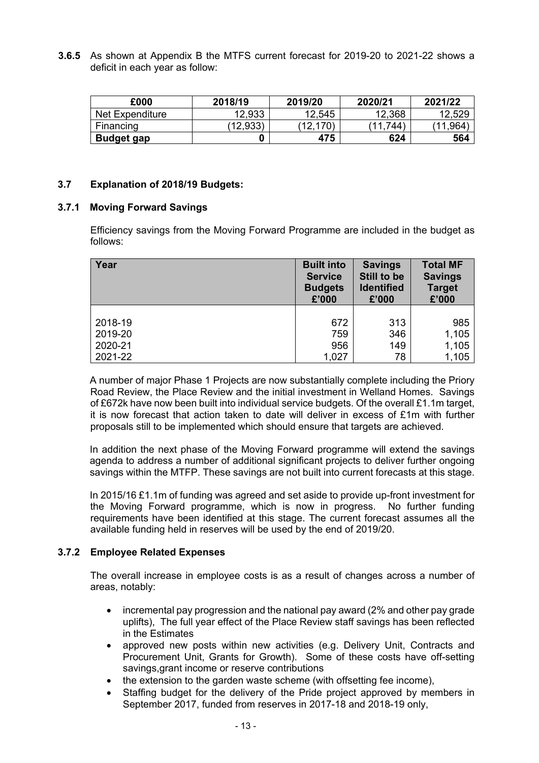**3.6.5** As shown at Appendix B the MTFS current forecast for 2019-20 to 2021-22 shows a deficit in each year as follow:

| £000              | 2018/19  | 2019/20   | 2020/21  | 2021/22 |
|-------------------|----------|-----------|----------|---------|
| Net Expenditure   | 12,933   | 12,545    | 12,368   | 12,529  |
| Financing         | (12,933) | (12, 170) | (11.744) | 11,964  |
| <b>Budget gap</b> |          | 475       | 624      | 564     |

## **3.7 Explanation of 2018/19 Budgets:**

## **3.7.1 Moving Forward Savings**

Efficiency savings from the Moving Forward Programme are included in the budget as follows:

| Year    | <b>Built into</b><br><b>Service</b><br><b>Budgets</b><br>£'000 | <b>Savings</b><br>Still to be<br><b>Identified</b><br>£'000 | <b>Total MF</b><br><b>Savings</b><br><b>Target</b><br>£'000 |
|---------|----------------------------------------------------------------|-------------------------------------------------------------|-------------------------------------------------------------|
| 2018-19 | 672                                                            | 313                                                         | 985                                                         |
| 2019-20 | 759                                                            | 346                                                         | 1,105                                                       |
| 2020-21 | 956                                                            | 149                                                         | 1,105                                                       |
| 2021-22 | 1,027                                                          | 78                                                          | 1,105                                                       |

A number of major Phase 1 Projects are now substantially complete including the Priory Road Review, the Place Review and the initial investment in Welland Homes. Savings of £672k have now been built into individual service budgets. Of the overall £1.1m target, it is now forecast that action taken to date will deliver in excess of £1m with further proposals still to be implemented which should ensure that targets are achieved.

In addition the next phase of the Moving Forward programme will extend the savings agenda to address a number of additional significant projects to deliver further ongoing savings within the MTFP. These savings are not built into current forecasts at this stage.

In 2015/16 £1.1m of funding was agreed and set aside to provide up-front investment for the Moving Forward programme, which is now in progress. No further funding requirements have been identified at this stage. The current forecast assumes all the available funding held in reserves will be used by the end of 2019/20.

## **3.7.2 Employee Related Expenses**

The overall increase in employee costs is as a result of changes across a number of areas, notably:

- incremental pay progression and the national pay award (2% and other pay grade uplifts), The full year effect of the Place Review staff savings has been reflected in the Estimates
- approved new posts within new activities (e.g. Delivery Unit, Contracts and Procurement Unit, Grants for Growth). Some of these costs have off-setting savings,grant income or reserve contributions
- the extension to the garden waste scheme (with offsetting fee income),
- Staffing budget for the delivery of the Pride project approved by members in September 2017, funded from reserves in 2017-18 and 2018-19 only,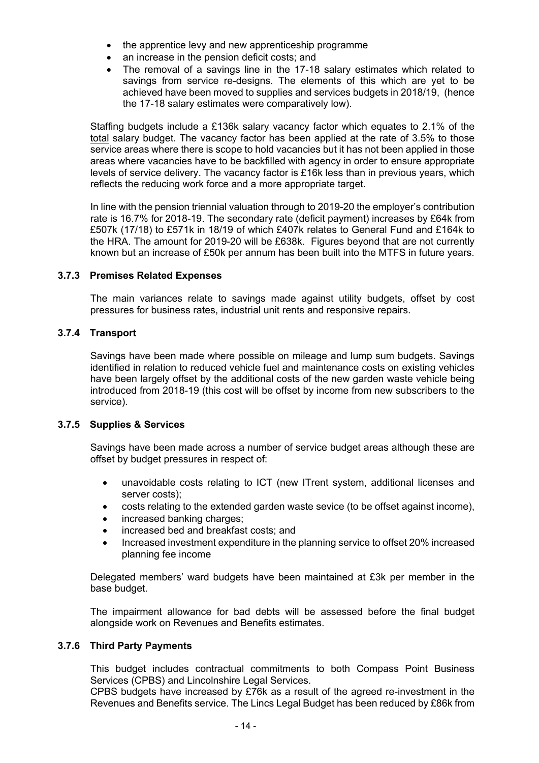- the apprentice levy and new apprenticeship programme
- an increase in the pension deficit costs; and
- The removal of a savings line in the 17-18 salary estimates which related to savings from service re-designs. The elements of this which are yet to be achieved have been moved to supplies and services budgets in 2018/19, (hence the 17-18 salary estimates were comparatively low).

Staffing budgets include a £136k salary vacancy factor which equates to 2.1% of the total salary budget. The vacancy factor has been applied at the rate of 3.5% to those service areas where there is scope to hold vacancies but it has not been applied in those areas where vacancies have to be backfilled with agency in order to ensure appropriate levels of service delivery. The vacancy factor is £16k less than in previous years, which reflects the reducing work force and a more appropriate target.

In line with the pension triennial valuation through to 2019-20 the employer's contribution rate is 16.7% for 2018-19. The secondary rate (deficit payment) increases by £64k from £507k (17/18) to £571k in 18/19 of which £407k relates to General Fund and £164k to the HRA. The amount for 2019-20 will be £638k. Figures beyond that are not currently known but an increase of £50k per annum has been built into the MTFS in future years.

## **3.7.3 Premises Related Expenses**

The main variances relate to savings made against utility budgets, offset by cost pressures for business rates, industrial unit rents and responsive repairs.

## **3.7.4 Transport**

Savings have been made where possible on mileage and lump sum budgets. Savings identified in relation to reduced vehicle fuel and maintenance costs on existing vehicles have been largely offset by the additional costs of the new garden waste vehicle being introduced from 2018-19 (this cost will be offset by income from new subscribers to the service).

## **3.7.5 Supplies & Services**

Savings have been made across a number of service budget areas although these are offset by budget pressures in respect of:

- unavoidable costs relating to ICT (new ITrent system, additional licenses and server costs):
- costs relating to the extended garden waste sevice (to be offset against income),
- increased banking charges;
- increased bed and breakfast costs; and
- Increased investment expenditure in the planning service to offset 20% increased planning fee income

Delegated members' ward budgets have been maintained at £3k per member in the base budget.

The impairment allowance for bad debts will be assessed before the final budget alongside work on Revenues and Benefits estimates.

## **3.7.6 Third Party Payments**

This budget includes contractual commitments to both Compass Point Business Services (CPBS) and Lincolnshire Legal Services.

CPBS budgets have increased by £76k as a result of the agreed re-investment in the Revenues and Benefits service. The Lincs Legal Budget has been reduced by £86k from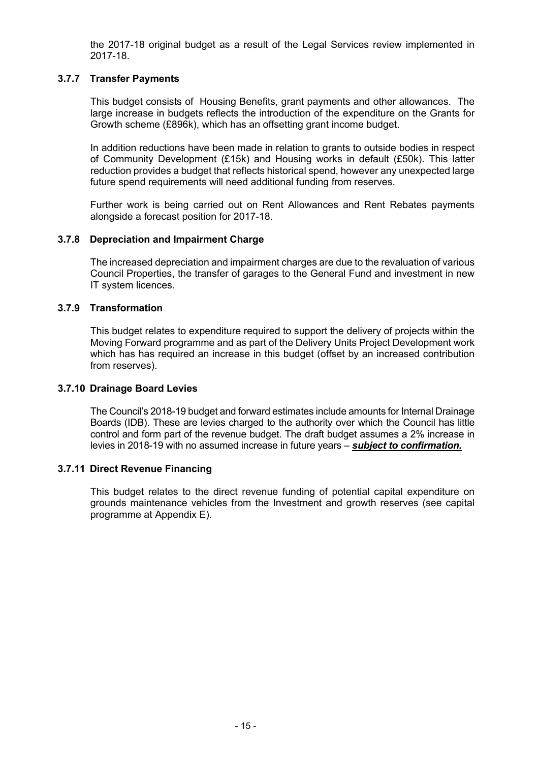the 2017-18 original budget as a result of the Legal Services review implemented in 2017-18.

## **3.7.7 Transfer Payments**

This budget consists of Housing Benefits, grant payments and other allowances. The large increase in budgets reflects the introduction of the expenditure on the Grants for Growth scheme (£896k), which has an offsetting grant income budget.

In addition reductions have been made in relation to grants to outside bodies in respect of Community Development (£15k) and Housing works in default (£50k). This latter reduction provides a budget that reflects historical spend, however any unexpected large future spend requirements will need additional funding from reserves.

Further work is being carried out on Rent Allowances and Rent Rebates payments alongside a forecast position for 2017-18.

## **3.7.8 Depreciation and Impairment Charge**

The increased depreciation and impairment charges are due to the revaluation of various Council Properties, the transfer of garages to the General Fund and investment in new IT system licences.

#### **3.7.9 Transformation**

This budget relates to expenditure required to support the delivery of projects within the Moving Forward programme and as part of the Delivery Units Project Development work which has has required an increase in this budget (offset by an increased contribution from reserves).

#### **3.7.10 Drainage Board Levies**

The Council's 2018-19 budget and forward estimates include amounts for Internal Drainage Boards (IDB). These are levies charged to the authority over which the Council has little control and form part of the revenue budget. The draft budget assumes a 2% increase in levies in 2018-19 with no assumed increase in future years – *subject to confirmation.*

#### **3.7.11 Direct Revenue Financing**

This budget relates to the direct revenue funding of potential capital expenditure on grounds maintenance vehicles from the Investment and growth reserves (see capital programme at Appendix E).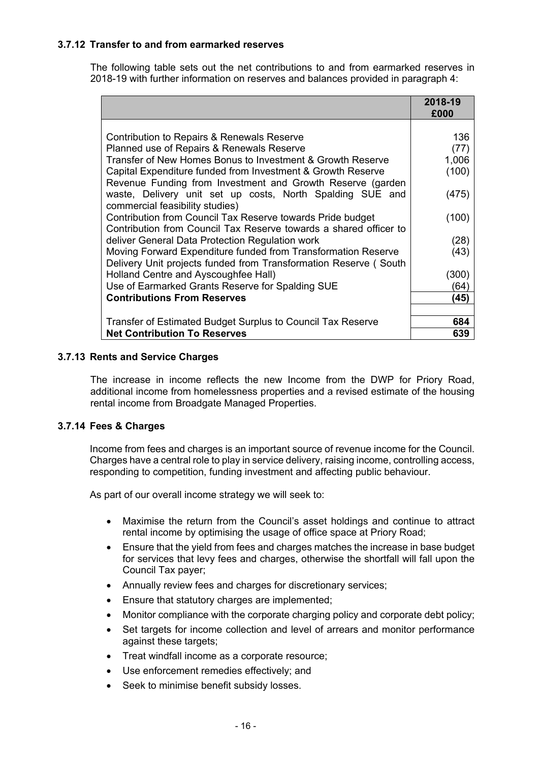## **3.7.12 Transfer to and from earmarked reserves**

The following table sets out the net contributions to and from earmarked reserves in 2018-19 with further information on reserves and balances provided in paragraph 4:

|                                                                   | 2018-19 |
|-------------------------------------------------------------------|---------|
|                                                                   | £000    |
|                                                                   |         |
| Contribution to Repairs & Renewals Reserve                        | 136     |
| Planned use of Repairs & Renewals Reserve                         | (77)    |
| Transfer of New Homes Bonus to Investment & Growth Reserve        | 1,006   |
| Capital Expenditure funded from Investment & Growth Reserve       | (100)   |
| Revenue Funding from Investment and Growth Reserve (garden        |         |
| waste, Delivery unit set up costs, North Spalding SUE and         | (475)   |
| commercial feasibility studies)                                   |         |
| Contribution from Council Tax Reserve towards Pride budget        | (100)   |
| Contribution from Council Tax Reserve towards a shared officer to |         |
| deliver General Data Protection Regulation work                   | (28)    |
| Moving Forward Expenditure funded from Transformation Reserve     | (43)    |
| Delivery Unit projects funded from Transformation Reserve (South  |         |
| Holland Centre and Ayscoughfee Hall)                              | (300)   |
| Use of Earmarked Grants Reserve for Spalding SUE                  | 64)     |
| <b>Contributions From Reserves</b>                                | (45)    |
|                                                                   |         |
| Transfer of Estimated Budget Surplus to Council Tax Reserve       | 684     |
| <b>Net Contribution To Reserves</b>                               | 639     |

#### **3.7.13 Rents and Service Charges**

The increase in income reflects the new Income from the DWP for Priory Road, additional income from homelessness properties and a revised estimate of the housing rental income from Broadgate Managed Properties.

## **3.7.14 Fees & Charges**

Income from fees and charges is an important source of revenue income for the Council. Charges have a central role to play in service delivery, raising income, controlling access, responding to competition, funding investment and affecting public behaviour.

As part of our overall income strategy we will seek to:

- Maximise the return from the Council's asset holdings and continue to attract rental income by optimising the usage of office space at Priory Road;
- Ensure that the yield from fees and charges matches the increase in base budget for services that levy fees and charges, otherwise the shortfall will fall upon the Council Tax payer;
- Annually review fees and charges for discretionary services;
- Ensure that statutory charges are implemented;
- Monitor compliance with the corporate charging policy and corporate debt policy;
- Set targets for income collection and level of arrears and monitor performance against these targets;
- Treat windfall income as a corporate resource;
- Use enforcement remedies effectively; and
- Seek to minimise benefit subsidy losses.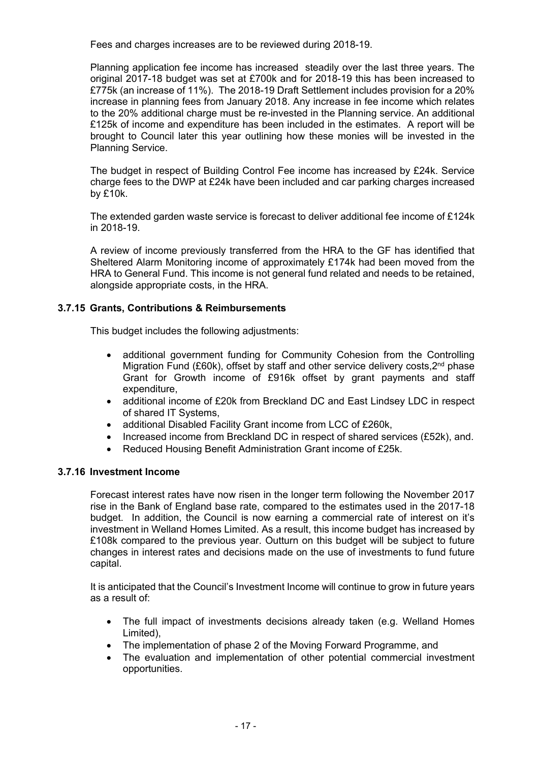Fees and charges increases are to be reviewed during 2018-19.

Planning application fee income has increased steadily over the last three years. The original 2017-18 budget was set at £700k and for 2018-19 this has been increased to £775k (an increase of 11%). The 2018-19 Draft Settlement includes provision for a 20% increase in planning fees from January 2018. Any increase in fee income which relates to the 20% additional charge must be re-invested in the Planning service. An additional £125k of income and expenditure has been included in the estimates. A report will be brought to Council later this year outlining how these monies will be invested in the Planning Service.

The budget in respect of Building Control Fee income has increased by £24k. Service charge fees to the DWP at £24k have been included and car parking charges increased by £10k.

The extended garden waste service is forecast to deliver additional fee income of £124k in 2018-19.

A review of income previously transferred from the HRA to the GF has identified that Sheltered Alarm Monitoring income of approximately £174k had been moved from the HRA to General Fund. This income is not general fund related and needs to be retained, alongside appropriate costs, in the HRA.

## **3.7.15 Grants, Contributions & Reimbursements**

This budget includes the following adjustments:

- additional government funding for Community Cohesion from the Controlling Migration Fund (£60k), offset by staff and other service delivery costs,  $2^{nd}$  phase Grant for Growth income of £916k offset by grant payments and staff expenditure,
- additional income of £20k from Breckland DC and East Lindsey LDC in respect of shared IT Systems,
- additional Disabled Facility Grant income from LCC of £260k,
- Increased income from Breckland DC in respect of shared services (£52k), and.
- Reduced Housing Benefit Administration Grant income of £25k.

## **3.7.16 Investment Income**

Forecast interest rates have now risen in the longer term following the November 2017 rise in the Bank of England base rate, compared to the estimates used in the 2017-18 budget. In addition, the Council is now earning a commercial rate of interest on it's investment in Welland Homes Limited. As a result, this income budget has increased by £108k compared to the previous year. Outturn on this budget will be subject to future changes in interest rates and decisions made on the use of investments to fund future capital.

It is anticipated that the Council's Investment Income will continue to grow in future years as a result of:

- The full impact of investments decisions already taken (e.g. Welland Homes Limited),
- The implementation of phase 2 of the Moving Forward Programme, and
- The evaluation and implementation of other potential commercial investment opportunities.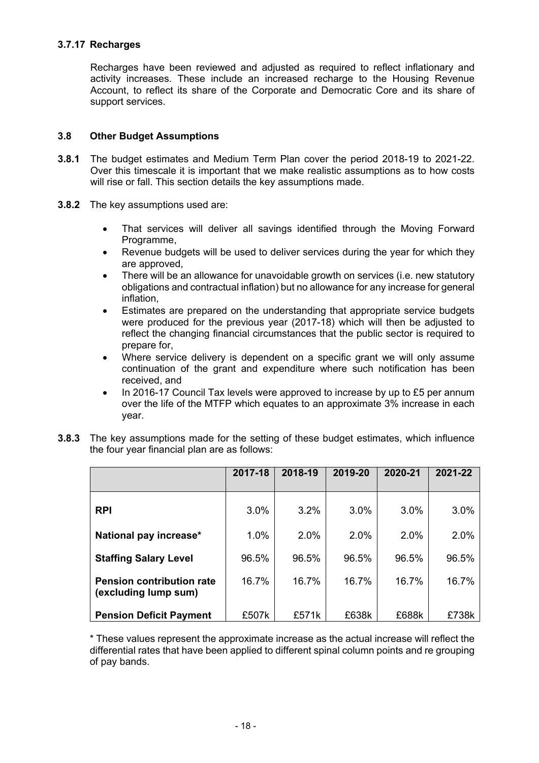## **3.7.17 Recharges**

Recharges have been reviewed and adjusted as required to reflect inflationary and activity increases. These include an increased recharge to the Housing Revenue Account, to reflect its share of the Corporate and Democratic Core and its share of support services.

### **3.8 Other Budget Assumptions**

- **3.8.1** The budget estimates and Medium Term Plan cover the period 2018-19 to 2021-22. Over this timescale it is important that we make realistic assumptions as to how costs will rise or fall. This section details the key assumptions made.
- **3.8.2** The key assumptions used are:
	- That services will deliver all savings identified through the Moving Forward Programme,
	- Revenue budgets will be used to deliver services during the year for which they are approved,
	- There will be an allowance for unavoidable growth on services (i.e. new statutory obligations and contractual inflation) but no allowance for any increase for general inflation,
	- Estimates are prepared on the understanding that appropriate service budgets were produced for the previous year (2017-18) which will then be adjusted to reflect the changing financial circumstances that the public sector is required to prepare for,
	- Where service delivery is dependent on a specific grant we will only assume continuation of the grant and expenditure where such notification has been received, and
	- In 2016-17 Council Tax levels were approved to increase by up to £5 per annum over the life of the MTFP which equates to an approximate 3% increase in each year.
- **3.8.3** The key assumptions made for the setting of these budget estimates, which influence the four year financial plan are as follows:

|                                                          | 2017-18 | 2018-19 | 2019-20 | 2020-21 | 2021-22 |
|----------------------------------------------------------|---------|---------|---------|---------|---------|
| <b>RPI</b>                                               | 3.0%    | 3.2%    | 3.0%    | 3.0%    | 3.0%    |
| National pay increase*                                   | 1.0%    | $2.0\%$ | 2.0%    | 2.0%    | 2.0%    |
| <b>Staffing Salary Level</b>                             | 96.5%   | 96.5%   | 96.5%   | 96.5%   | 96.5%   |
| <b>Pension contribution rate</b><br>(excluding lump sum) | 16.7%   | 16.7%   | 16.7%   | 16.7%   | 16.7%   |
| <b>Pension Deficit Payment</b>                           | £507k   | £571k   | £638k   | £688k   | £738k   |

\* These values represent the approximate increase as the actual increase will reflect the differential rates that have been applied to different spinal column points and re grouping of pay bands.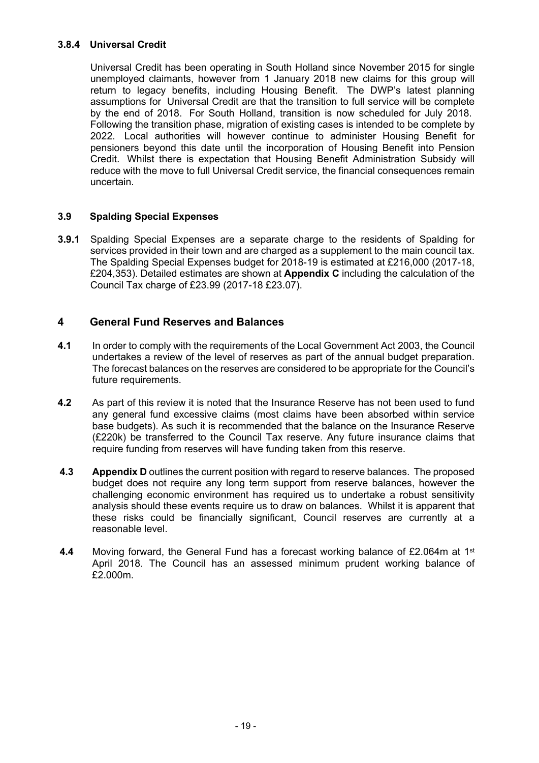# **3.8.4 Universal Credit**

Universal Credit has been operating in South Holland since November 2015 for single unemployed claimants, however from 1 January 2018 new claims for this group will return to legacy benefits, including Housing Benefit. The DWP's latest planning assumptions for Universal Credit are that the transition to full service will be complete by the end of 2018. For South Holland, transition is now scheduled for July 2018. Following the transition phase, migration of existing cases is intended to be complete by 2022. Local authorities will however continue to administer Housing Benefit for pensioners beyond this date until the incorporation of Housing Benefit into Pension Credit. Whilst there is expectation that Housing Benefit Administration Subsidy will reduce with the move to full Universal Credit service, the financial consequences remain uncertain.

## **3.9 Spalding Special Expenses**

**3.9.1** Spalding Special Expenses are a separate charge to the residents of Spalding for services provided in their town and are charged as a supplement to the main council tax. The Spalding Special Expenses budget for 2018-19 is estimated at £216,000 (2017-18, £204,353). Detailed estimates are shown at **Appendix C** including the calculation of the Council Tax charge of £23.99 (2017-18 £23.07).

## **4 General Fund Reserves and Balances**

- **4.1** In order to comply with the requirements of the Local Government Act 2003, the Council undertakes a review of the level of reserves as part of the annual budget preparation. The forecast balances on the reserves are considered to be appropriate for the Council's future requirements.
- **4.2** As part of this review it is noted that the Insurance Reserve has not been used to fund any general fund excessive claims (most claims have been absorbed within service base budgets). As such it is recommended that the balance on the Insurance Reserve (£220k) be transferred to the Council Tax reserve. Any future insurance claims that require funding from reserves will have funding taken from this reserve.
- **4.3 Appendix D** outlines the current position with regard to reserve balances. The proposed budget does not require any long term support from reserve balances, however the challenging economic environment has required us to undertake a robust sensitivity analysis should these events require us to draw on balances. Whilst it is apparent that these risks could be financially significant, Council reserves are currently at a reasonable level.
- **4.4** Moving forward, the General Fund has a forecast working balance of £2.064m at 1<sup>st</sup> April 2018. The Council has an assessed minimum prudent working balance of £2.000m.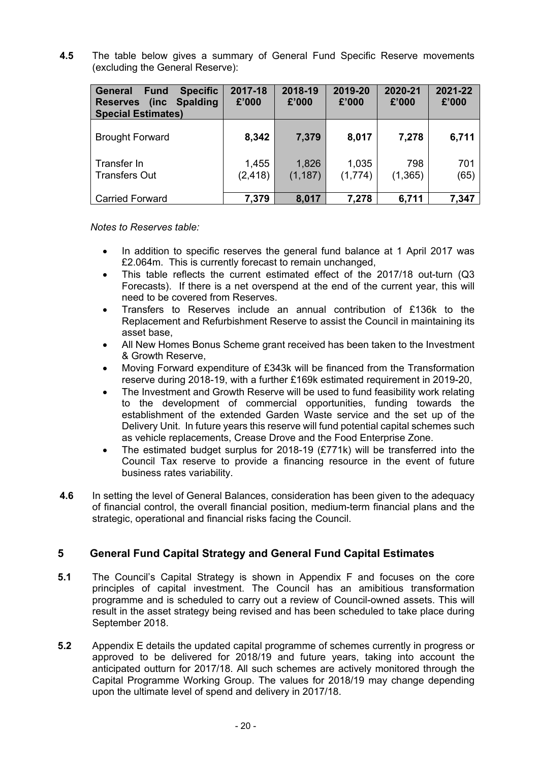**4.5** The table below gives a summary of General Fund Specific Reserve movements (excluding the General Reserve):

| <b>Specific</b><br><b>Fund</b><br>General<br><b>Spalding</b><br>(inc)<br><b>Reserves</b><br><b>Special Estimates)</b> | 2017-18<br>£'000  | 2018-19<br>£'000  | 2019-20<br>£'000 | 2020-21<br>£'000 | 2021-22<br>£'000 |
|-----------------------------------------------------------------------------------------------------------------------|-------------------|-------------------|------------------|------------------|------------------|
| <b>Brought Forward</b>                                                                                                | 8,342             | 7,379             | 8,017            | 7,278            | 6,711            |
| Transfer In<br><b>Transfers Out</b>                                                                                   | 1,455<br>(2, 418) | 1,826<br>(1, 187) | 1,035<br>(1,774) | 798<br>(1,365)   | 701<br>(65)      |
| <b>Carried Forward</b>                                                                                                | 7,379             | 8,017             | 7,278            | 6,711            | 7,347            |

*Notes to Reserves table:*

- In addition to specific reserves the general fund balance at 1 April 2017 was £2.064m. This is currently forecast to remain unchanged,
- This table reflects the current estimated effect of the 2017/18 out-turn (Q3 Forecasts). If there is a net overspend at the end of the current year, this will need to be covered from Reserves.
- Transfers to Reserves include an annual contribution of £136k to the Replacement and Refurbishment Reserve to assist the Council in maintaining its asset base,
- All New Homes Bonus Scheme grant received has been taken to the Investment & Growth Reserve,
- Moving Forward expenditure of £343k will be financed from the Transformation reserve during 2018-19, with a further £169k estimated requirement in 2019-20,
- The Investment and Growth Reserve will be used to fund feasibility work relating to the development of commercial opportunities, funding towards the establishment of the extended Garden Waste service and the set up of the Delivery Unit. In future years this reserve will fund potential capital schemes such as vehicle replacements, Crease Drove and the Food Enterprise Zone.
- The estimated budget surplus for 2018-19 (£771k) will be transferred into the Council Tax reserve to provide a financing resource in the event of future business rates variability.
- **4.6** In setting the level of General Balances, consideration has been given to the adequacy of financial control, the overall financial position, medium-term financial plans and the strategic, operational and financial risks facing the Council.

# **5 General Fund Capital Strategy and General Fund Capital Estimates**

- **5.1** The Council's Capital Strategy is shown in Appendix F and focuses on the core principles of capital investment. The Council has an amibitious transformation programme and is scheduled to carry out a review of Council-owned assets. This will result in the asset strategy being revised and has been scheduled to take place during September 2018.
- **5.2** Appendix E details the updated capital programme of schemes currently in progress or approved to be delivered for 2018/19 and future years, taking into account the anticipated outturn for 2017/18. All such schemes are actively monitored through the Capital Programme Working Group. The values for 2018/19 may change depending upon the ultimate level of spend and delivery in 2017/18.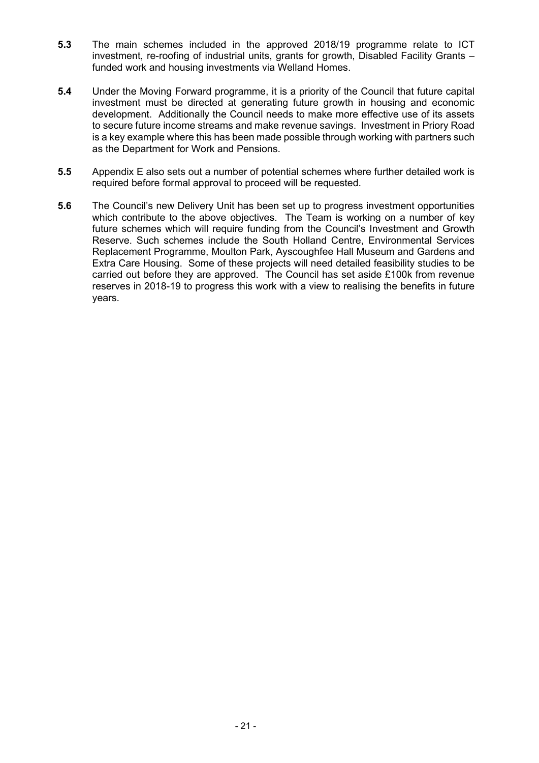- **5.3** The main schemes included in the approved 2018/19 programme relate to ICT investment, re-roofing of industrial units, grants for growth. Disabled Facility Grants – funded work and housing investments via Welland Homes.
- **5.4** Under the Moving Forward programme, it is a priority of the Council that future capital investment must be directed at generating future growth in housing and economic development. Additionally the Council needs to make more effective use of its assets to secure future income streams and make revenue savings. Investment in Priory Road is a key example where this has been made possible through working with partners such as the Department for Work and Pensions.
- **5.5** Appendix E also sets out a number of potential schemes where further detailed work is required before formal approval to proceed will be requested.
- **5.6** The Council's new Delivery Unit has been set up to progress investment opportunities which contribute to the above objectives. The Team is working on a number of key future schemes which will require funding from the Council's Investment and Growth Reserve. Such schemes include the South Holland Centre, Environmental Services Replacement Programme, Moulton Park, Ayscoughfee Hall Museum and Gardens and Extra Care Housing. Some of these projects will need detailed feasibility studies to be carried out before they are approved. The Council has set aside £100k from revenue reserves in 2018-19 to progress this work with a view to realising the benefits in future years.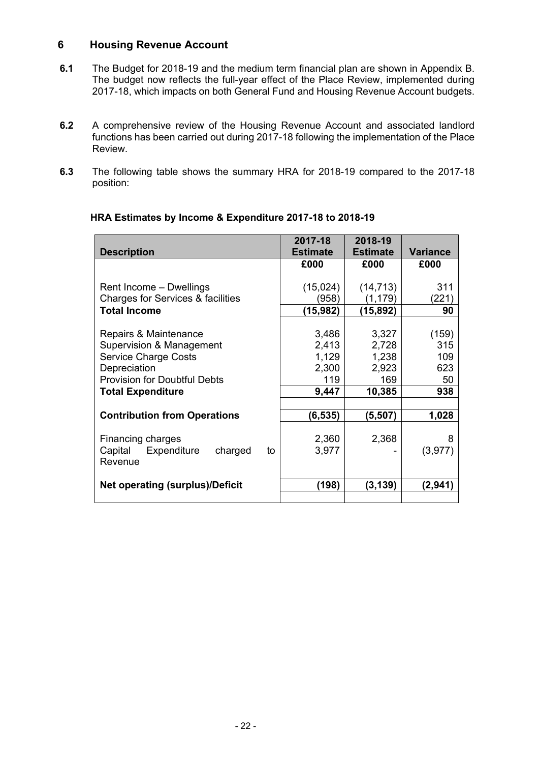# **6 Housing Revenue Account**

- **6.1** The Budget for 2018-19 and the medium term financial plan are shown in Appendix B. The budget now reflects the full-year effect of the Place Review, implemented during 2017-18, which impacts on both General Fund and Housing Revenue Account budgets.
- **6.2** A comprehensive review of the Housing Revenue Account and associated landlord functions has been carried out during 2017-18 following the implementation of the Place Review.
- **6.3** The following table shows the summary HRA for 2018-19 compared to the 2017-18 position:

|                                         | 2017-18         | 2018-19         |                 |
|-----------------------------------------|-----------------|-----------------|-----------------|
| <b>Description</b>                      | <b>Estimate</b> | <b>Estimate</b> | <b>Variance</b> |
|                                         | £000            | £000            | £000            |
|                                         |                 |                 |                 |
| Rent Income - Dwellings                 | (15,024)        | (14, 713)       | 311             |
| Charges for Services & facilities       | (958)           | (1, 179)        | (221)           |
| <b>Total Income</b>                     | (15, 982)       | (15,892)        | 90              |
|                                         |                 |                 |                 |
| Repairs & Maintenance                   | 3,486           | 3,327           | (159)           |
| Supervision & Management                | 2,413           | 2,728           | 315             |
| <b>Service Charge Costs</b>             | 1,129           | 1,238           | 109             |
| Depreciation                            | 2,300           | 2,923           | 623             |
| <b>Provision for Doubtful Debts</b>     | 119             | 169             | 50              |
| <b>Total Expenditure</b>                | 9,447           | 10,385          | 938             |
|                                         |                 |                 |                 |
| <b>Contribution from Operations</b>     | (6, 535)        | (5,507)         | 1,028           |
|                                         |                 |                 |                 |
| Financing charges                       | 2,360           | 2,368           | 8               |
| Expenditure<br>Capital<br>charged<br>to | 3,977           |                 | (3, 977)        |
| Revenue                                 |                 |                 |                 |
| <b>Net operating (surplus)/Deficit</b>  | (198)           | (3,139)         | (2,941)         |
|                                         |                 |                 |                 |

## **HRA Estimates by Income & Expenditure 2017-18 to 2018-19**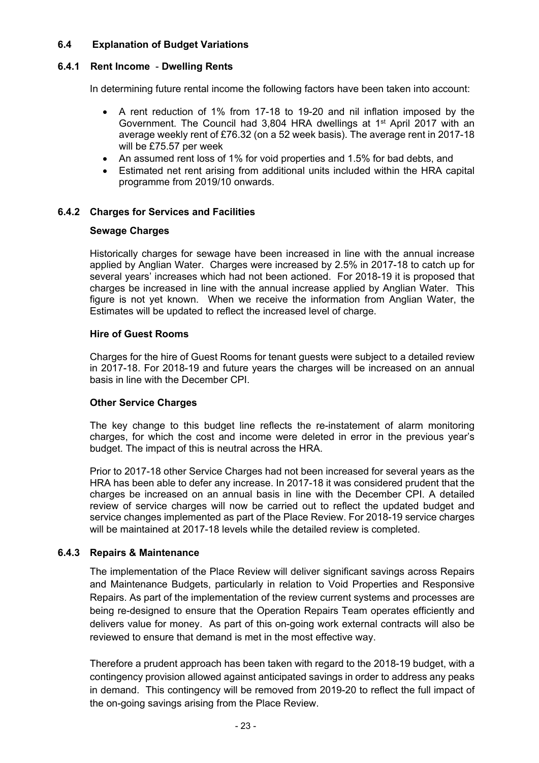# **6.4 Explanation of Budget Variations**

## **6.4.1 Rent Income** - **Dwelling Rents**

In determining future rental income the following factors have been taken into account:

- A rent reduction of 1% from 17-18 to 19-20 and nil inflation imposed by the Government. The Council had 3,804 HRA dwellings at 1<sup>st</sup> April 2017 with an average weekly rent of £76.32 (on a 52 week basis). The average rent in 2017-18 will be £75.57 per week
- An assumed rent loss of 1% for void properties and 1.5% for bad debts, and
- Estimated net rent arising from additional units included within the HRA capital programme from 2019/10 onwards.

## **6.4.2 Charges for Services and Facilities**

#### **Sewage Charges**

Historically charges for sewage have been increased in line with the annual increase applied by Anglian Water. Charges were increased by 2.5% in 2017-18 to catch up for several years' increases which had not been actioned. For 2018-19 it is proposed that charges be increased in line with the annual increase applied by Anglian Water. This figure is not yet known. When we receive the information from Anglian Water, the Estimates will be updated to reflect the increased level of charge.

#### **Hire of Guest Rooms**

Charges for the hire of Guest Rooms for tenant guests were subject to a detailed review in 2017-18. For 2018-19 and future years the charges will be increased on an annual basis in line with the December CPI.

## **Other Service Charges**

The key change to this budget line reflects the re-instatement of alarm monitoring charges, for which the cost and income were deleted in error in the previous year's budget. The impact of this is neutral across the HRA.

Prior to 2017-18 other Service Charges had not been increased for several years as the HRA has been able to defer any increase. In 2017-18 it was considered prudent that the charges be increased on an annual basis in line with the December CPI. A detailed review of service charges will now be carried out to reflect the updated budget and service changes implemented as part of the Place Review. For 2018-19 service charges will be maintained at 2017-18 levels while the detailed review is completed.

## **6.4.3 Repairs & Maintenance**

The implementation of the Place Review will deliver significant savings across Repairs and Maintenance Budgets, particularly in relation to Void Properties and Responsive Repairs. As part of the implementation of the review current systems and processes are being re-designed to ensure that the Operation Repairs Team operates efficiently and delivers value for money. As part of this on-going work external contracts will also be reviewed to ensure that demand is met in the most effective way.

Therefore a prudent approach has been taken with regard to the 2018-19 budget, with a contingency provision allowed against anticipated savings in order to address any peaks in demand. This contingency will be removed from 2019-20 to reflect the full impact of the on-going savings arising from the Place Review.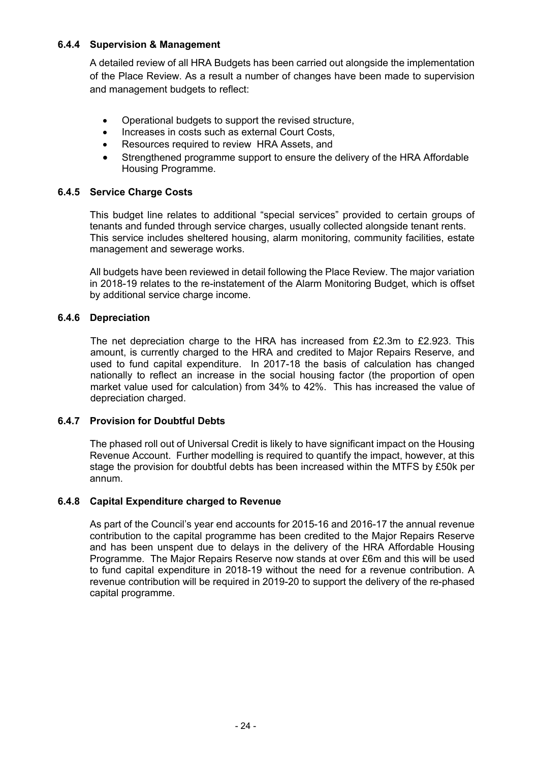## **6.4.4 Supervision & Management**

A detailed review of all HRA Budgets has been carried out alongside the implementation of the Place Review. As a result a number of changes have been made to supervision and management budgets to reflect:

- Operational budgets to support the revised structure,
- Increases in costs such as external Court Costs,
- Resources required to review HRA Assets, and
- Strengthened programme support to ensure the delivery of the HRA Affordable Housing Programme.

## **6.4.5 Service Charge Costs**

This budget line relates to additional "special services" provided to certain groups of tenants and funded through service charges, usually collected alongside tenant rents. This service includes sheltered housing, alarm monitoring, community facilities, estate management and sewerage works.

All budgets have been reviewed in detail following the Place Review. The major variation in 2018-19 relates to the re-instatement of the Alarm Monitoring Budget, which is offset by additional service charge income.

#### **6.4.6 Depreciation**

The net depreciation charge to the HRA has increased from £2.3m to £2.923. This amount, is currently charged to the HRA and credited to Major Repairs Reserve, and used to fund capital expenditure. In 2017-18 the basis of calculation has changed nationally to reflect an increase in the social housing factor (the proportion of open market value used for calculation) from 34% to 42%. This has increased the value of depreciation charged.

## **6.4.7 Provision for Doubtful Debts**

The phased roll out of Universal Credit is likely to have significant impact on the Housing Revenue Account. Further modelling is required to quantify the impact, however, at this stage the provision for doubtful debts has been increased within the MTFS by £50k per annum.

## **6.4.8 Capital Expenditure charged to Revenue**

As part of the Council's year end accounts for 2015-16 and 2016-17 the annual revenue contribution to the capital programme has been credited to the Major Repairs Reserve and has been unspent due to delays in the delivery of the HRA Affordable Housing Programme. The Major Repairs Reserve now stands at over £6m and this will be used to fund capital expenditure in 2018-19 without the need for a revenue contribution. A revenue contribution will be required in 2019-20 to support the delivery of the re-phased capital programme.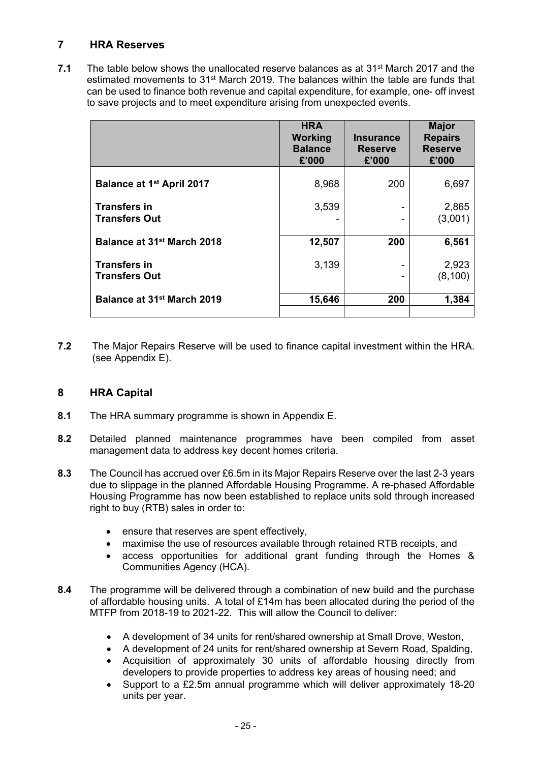# **7 HRA Reserves**

**7.1** The table below shows the unallocated reserve balances as at 31<sup>st</sup> March 2017 and the estimated movements to 31st March 2019. The balances within the table are funds that can be used to finance both revenue and capital expenditure, for example, one- off invest to save projects and to meet expenditure arising from unexpected events.

|                                             | <b>HRA</b><br><b>Working</b><br><b>Balance</b><br>£'000 | <b>Insurance</b><br><b>Reserve</b><br>£'000 | <b>Major</b><br><b>Repairs</b><br><b>Reserve</b><br>£'000 |
|---------------------------------------------|---------------------------------------------------------|---------------------------------------------|-----------------------------------------------------------|
| Balance at 1 <sup>st</sup> April 2017       | 8,968                                                   | 200                                         | 6,697                                                     |
| <b>Transfers in</b><br><b>Transfers Out</b> | 3,539                                                   |                                             | 2,865<br>(3,001)                                          |
| Balance at 31 <sup>st</sup> March 2018      | 12,507                                                  | 200                                         | 6,561                                                     |
| <b>Transfers in</b><br><b>Transfers Out</b> | 3,139                                                   |                                             | 2,923<br>(8, 100)                                         |
| Balance at 31 <sup>st</sup> March 2019      | 15,646                                                  | 200                                         | 1,384                                                     |

**7.2** The Major Repairs Reserve will be used to finance capital investment within the HRA. (see Appendix E).

# **8 HRA Capital**

- **8.1** The HRA summary programme is shown in Appendix E.
- **8.2** Detailed planned maintenance programmes have been compiled from asset management data to address key decent homes criteria.
- **8.3** The Council has accrued over £6.5m in its Major Repairs Reserve over the last 2-3 years due to slippage in the planned Affordable Housing Programme. A re-phased Affordable Housing Programme has now been established to replace units sold through increased right to buy (RTB) sales in order to:
	- ensure that reserves are spent effectively,
	- maximise the use of resources available through retained RTB receipts, and
	- access opportunities for additional grant funding through the Homes & Communities Agency (HCA).
- **8.4** The programme will be delivered through a combination of new build and the purchase of affordable housing units. A total of £14m has been allocated during the period of the MTFP from 2018-19 to 2021-22. This will allow the Council to deliver:
	- A development of 34 units for rent/shared ownership at Small Drove, Weston,
	- A development of 24 units for rent/shared ownership at Severn Road, Spalding,
	- Acquisition of approximately 30 units of affordable housing directly from developers to provide properties to address key areas of housing need; and
	- Support to a £2.5m annual programme which will deliver approximately 18-20 units per year.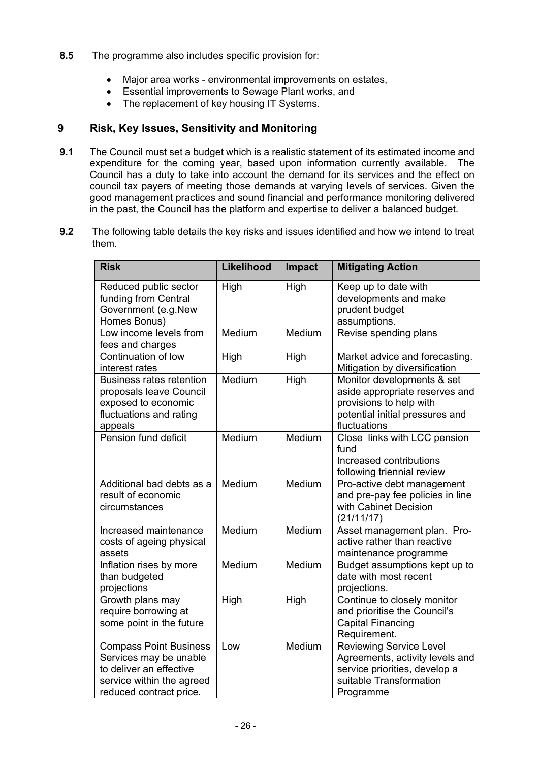- **8.5** The programme also includes specific provision for:
	- Major area works environmental improvements on estates,
	- Essential improvements to Sewage Plant works, and
	- The replacement of key housing IT Systems.

# **9 Risk, Key Issues, Sensitivity and Monitoring**

- **9.1** The Council must set a budget which is a realistic statement of its estimated income and expenditure for the coming year, based upon information currently available. The Council has a duty to take into account the demand for its services and the effect on council tax payers of meeting those demands at varying levels of services. Given the good management practices and sound financial and performance monitoring delivered in the past, the Council has the platform and expertise to deliver a balanced budget.
- **9.2** The following table details the key risks and issues identified and how we intend to treat them.

| <b>Risk</b>                                                                                                                                | Likelihood | <b>Impact</b> | <b>Mitigating Action</b>                                                                                                                   |
|--------------------------------------------------------------------------------------------------------------------------------------------|------------|---------------|--------------------------------------------------------------------------------------------------------------------------------------------|
| Reduced public sector<br>funding from Central<br>Government (e.g.New<br>Homes Bonus)                                                       | High       | High          | Keep up to date with<br>developments and make<br>prudent budget<br>assumptions.                                                            |
| Low income levels from<br>fees and charges                                                                                                 | Medium     | Medium        | Revise spending plans                                                                                                                      |
| Continuation of low<br>interest rates                                                                                                      | High       | High          | Market advice and forecasting.<br>Mitigation by diversification                                                                            |
| <b>Business rates retention</b><br>proposals leave Council<br>exposed to economic<br>fluctuations and rating<br>appeals                    | Medium     | High          | Monitor developments & set<br>aside appropriate reserves and<br>provisions to help with<br>potential initial pressures and<br>fluctuations |
| Pension fund deficit                                                                                                                       | Medium     | Medium        | Close links with LCC pension<br>fund<br>Increased contributions<br>following triennial review                                              |
| Additional bad debts as a<br>result of economic<br>circumstances                                                                           | Medium     | Medium        | Pro-active debt management<br>and pre-pay fee policies in line<br>with Cabinet Decision<br>(21/11/17)                                      |
| Increased maintenance<br>costs of ageing physical<br>assets                                                                                | Medium     | Medium        | Asset management plan. Pro-<br>active rather than reactive<br>maintenance programme                                                        |
| Inflation rises by more<br>than budgeted<br>projections                                                                                    | Medium     | Medium        | Budget assumptions kept up to<br>date with most recent<br>projections.                                                                     |
| Growth plans may<br>require borrowing at<br>some point in the future                                                                       | High       | High          | Continue to closely monitor<br>and prioritise the Council's<br><b>Capital Financing</b><br>Requirement.                                    |
| <b>Compass Point Business</b><br>Services may be unable<br>to deliver an effective<br>service within the agreed<br>reduced contract price. | Low        | Medium        | <b>Reviewing Service Level</b><br>Agreements, activity levels and<br>service priorities, develop a<br>suitable Transformation<br>Programme |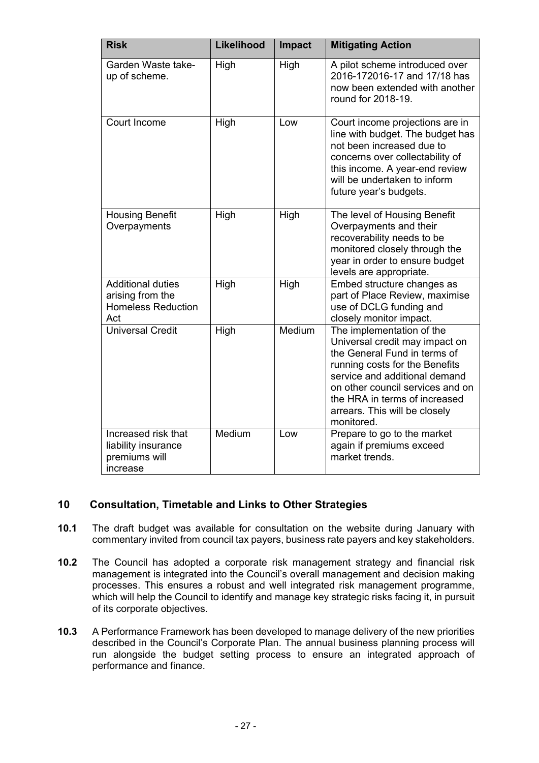| <b>Risk</b>                                                                      | Likelihood | Impact | <b>Mitigating Action</b>                                                                                                                                                                                                                                                           |
|----------------------------------------------------------------------------------|------------|--------|------------------------------------------------------------------------------------------------------------------------------------------------------------------------------------------------------------------------------------------------------------------------------------|
| Garden Waste take-<br>up of scheme.                                              | High       | High   | A pilot scheme introduced over<br>2016-172016-17 and 17/18 has<br>now been extended with another<br>round for 2018-19.                                                                                                                                                             |
| Court Income                                                                     | High       | Low    | Court income projections are in<br>line with budget. The budget has<br>not been increased due to<br>concerns over collectability of<br>this income. A year-end review<br>will be undertaken to inform<br>future year's budgets.                                                    |
| <b>Housing Benefit</b><br>Overpayments                                           | High       | High   | The level of Housing Benefit<br>Overpayments and their<br>recoverability needs to be<br>monitored closely through the<br>year in order to ensure budget<br>levels are appropriate.                                                                                                 |
| <b>Additional duties</b><br>arising from the<br><b>Homeless Reduction</b><br>Act | High       | High   | Embed structure changes as<br>part of Place Review, maximise<br>use of DCLG funding and<br>closely monitor impact.                                                                                                                                                                 |
| <b>Universal Credit</b>                                                          | High       | Medium | The implementation of the<br>Universal credit may impact on<br>the General Fund in terms of<br>running costs for the Benefits<br>service and additional demand<br>on other council services and on<br>the HRA in terms of increased<br>arrears. This will be closely<br>monitored. |
| Increased risk that<br>liability insurance<br>premiums will<br>increase          | Medium     | Low    | Prepare to go to the market<br>again if premiums exceed<br>market trends.                                                                                                                                                                                                          |

# **10 Consultation, Timetable and Links to Other Strategies**

- **10.1** The draft budget was available for consultation on the website during January with commentary invited from council tax payers, business rate payers and key stakeholders.
- **10.2** The Council has adopted a corporate risk management strategy and financial risk management is integrated into the Council's overall management and decision making processes. This ensures a robust and well integrated risk management programme, which will help the Council to identify and manage key strategic risks facing it, in pursuit of its corporate objectives.
- **10.3** A Performance Framework has been developed to manage delivery of the new priorities described in the Council's Corporate Plan. The annual business planning process will run alongside the budget setting process to ensure an integrated approach of performance and finance.